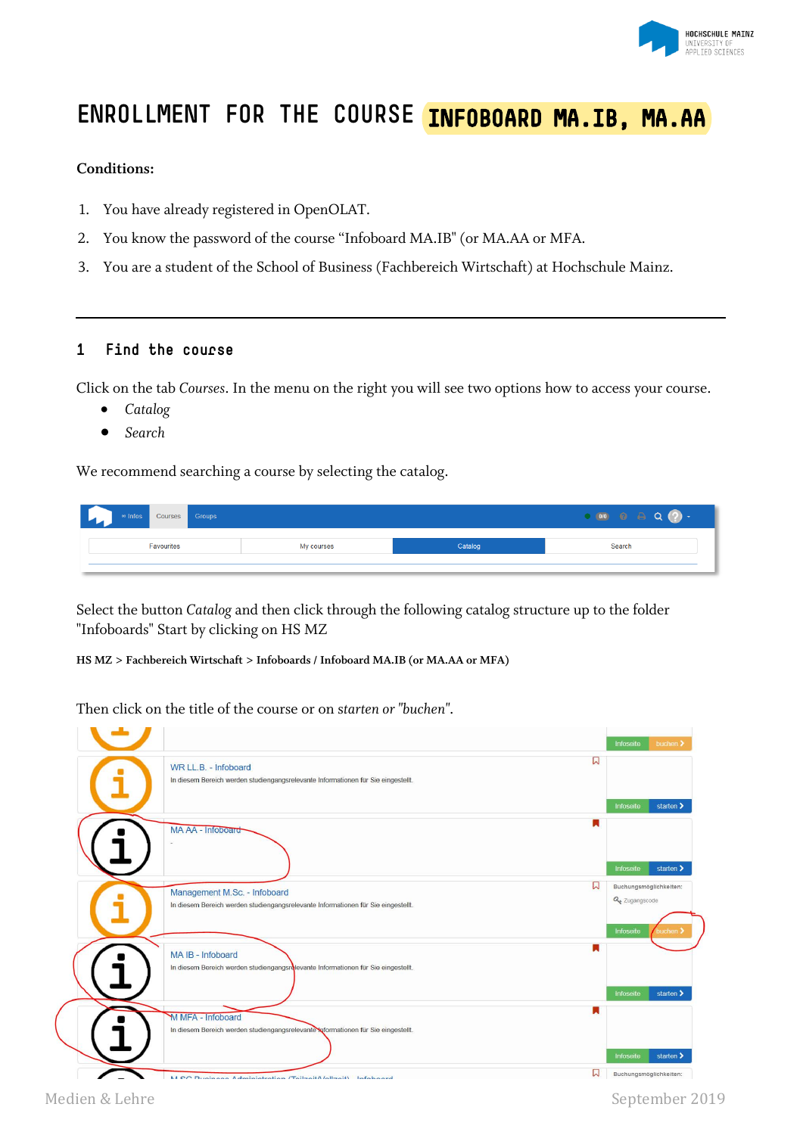

# **ENROLLMENT FOR THE COURSE INFOBOARD MA.IB, MA.AA**

#### **Conditions:**

- 1. You have already registered in OpenOLAT.
- 2. You know the password of the course "Infoboard MA.IB" (or MA.AA or MFA.
- 3. You are a student of the School of Business (Fachbereich Wirtschaft) at Hochschule Mainz.

### **1 Find the course**

Click on the tab *Courses*. In the menu on the right you will see two options how to access your course.

- *Catalog*
- *Search*

We recommend searching a course by selecting the catalog.

| $\circ$ Infos<br>Courses Groups | ി<br>$\blacksquare$ 0/0 |            |         |        |  |  |  |
|---------------------------------|-------------------------|------------|---------|--------|--|--|--|
| Favourites                      |                         | My courses | Catalog | Search |  |  |  |
|                                 |                         |            |         |        |  |  |  |

Select the button *Catalog* and then click through the following catalog structure up to the folder "Infoboards" Start by clicking on HS MZ

**HS MZ > Fachbereich Wirtschaft > Infoboards / Infoboard MA.IB (or MA.AA or MFA)**

Then click on the title of the course or on s*tarten or "buchen"*.

|                                                                                                               |   | Infoseite                               | buchen >                            |
|---------------------------------------------------------------------------------------------------------------|---|-----------------------------------------|-------------------------------------|
| WR LL.B. - Infoboard<br>In diesem Bereich werden studiengangsrelevante Informationen für Sie eingestellt.     | ພ |                                         |                                     |
|                                                                                                               | ĸ | Infoseite                               | starten >                           |
| MA AA - Infoboard                                                                                             |   |                                         |                                     |
| Management M.Sc. - Infoboard                                                                                  | W | Infoseite<br>Q <sub>e</sub> Zugangscode | starten ><br>Buchungsmöglichkeiten: |
| In diesem Bereich werden studiengangsrelevante Informationen für Sie eingestellt.                             |   | Infoseite                               | buchen :                            |
| MA IB - Infoboard<br>In diesem Bereich werden studiengangsrelevante Informationen für Sie eingestellt.        | u |                                         |                                     |
|                                                                                                               |   | Infoseite                               | starten >                           |
| <b>M MFA - Infoboard</b><br>In diesem Bereich werden studiengangsrelevante Informationen für Sie eingestellt. |   |                                         |                                     |
|                                                                                                               |   | Infoseite                               | starten >                           |
| M.O.O. Duningon Administration (TailmaitA/allmait) Infohoord                                                  | W |                                         | Buchungsmöglichkeiten:              |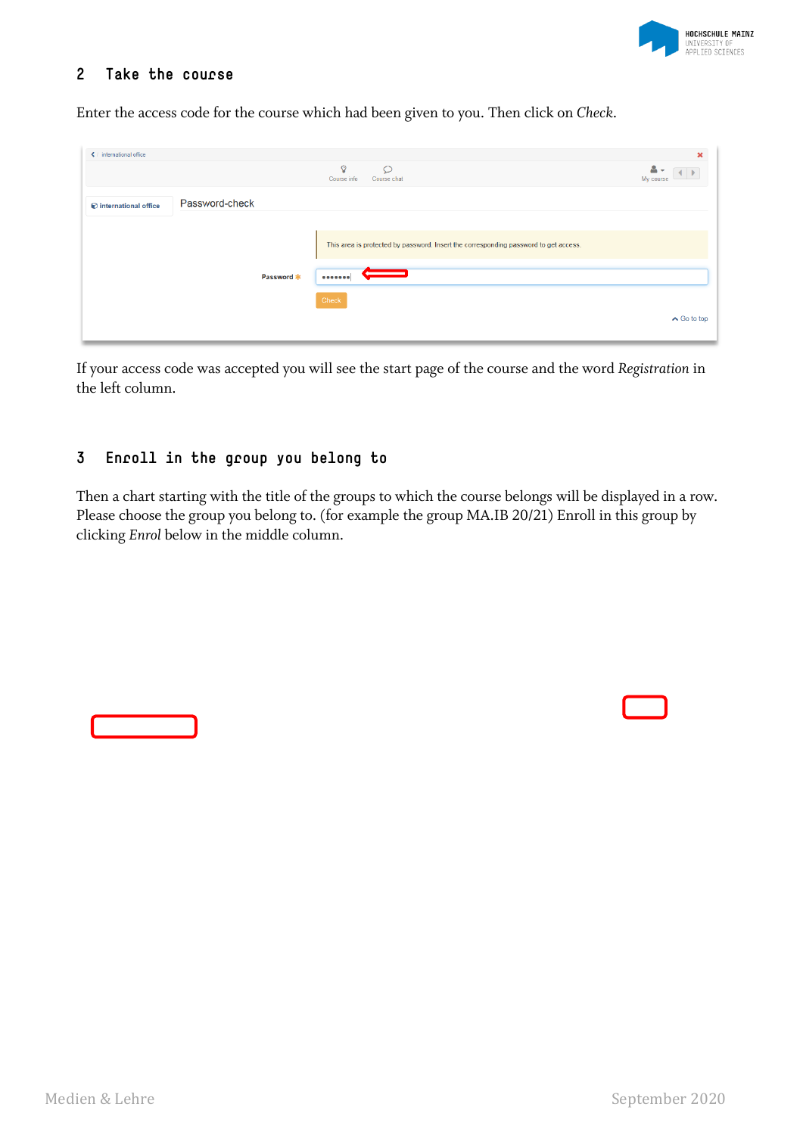

## **2 Take the course**

Enter the access code for the course which had been given to you. Then click on *Check*.

| <b>く</b> / international office |                |            |                                                                                      | $\pmb{\times}$        |
|---------------------------------|----------------|------------|--------------------------------------------------------------------------------------|-----------------------|
|                                 |                |            | $\Omega$<br>$\circ$<br>Course info<br>Course chat                                    | д<br>My course        |
| international office            | Password-check |            |                                                                                      |                       |
|                                 |                |            | This area is protected by password. Insert the corresponding password to get access. |                       |
|                                 |                | Password * |                                                                                      |                       |
|                                 |                |            | Check                                                                                | $\triangle$ Go to top |

If your access code was accepted you will see the start page of the course and the word *Registration* in the left column.

# **3 Enroll in the group you belong to**

Then a chart starting with the title of the groups to which the course belongs will be displayed in a row. Please choose the group you belong to. (for example the group MA.IB 20/21) Enroll in this group by clicking *Enrol* below in the middle column.